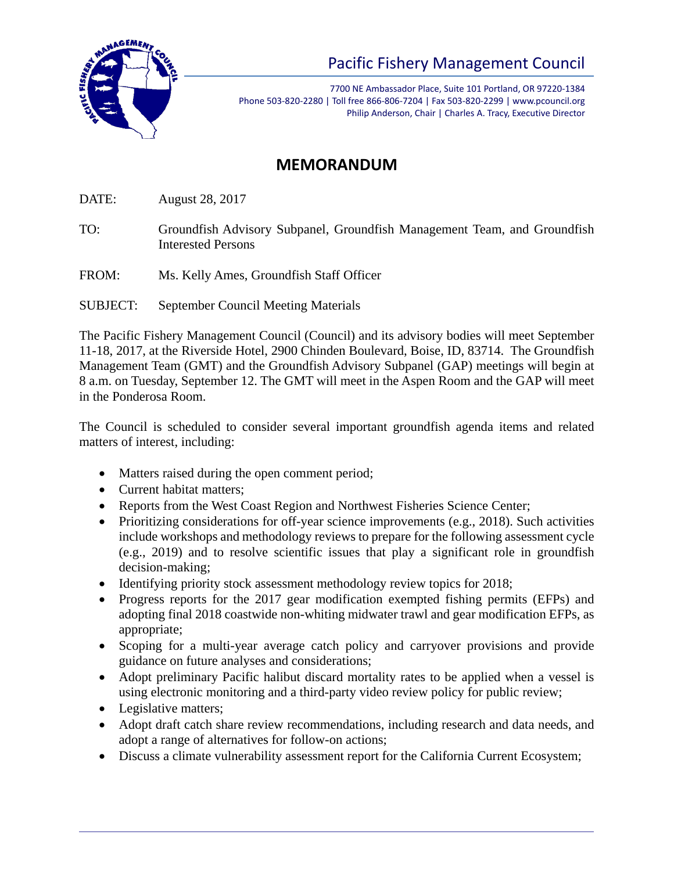

## Pacific Fishery Management Council

7700 NE Ambassador Place, Suite 101 Portland, OR 97220-1384 Phone 503-820-2280 | Toll free 866-806-7204 | Fax 503-820-2299 | www.pcouncil.org Philip Anderson, Chair | Charles A. Tracy, Executive Director

## **MEMORANDUM**

DATE: August 28, 2017

- TO: Groundfish Advisory Subpanel, Groundfish Management Team, and Groundfish Interested Persons
- FROM: Ms. Kelly Ames, Groundfish Staff Officer

SUBJECT: September Council Meeting Materials

The Pacific Fishery Management Council (Council) and its advisory bodies will meet September 11-18, 2017, at the Riverside Hotel, 2900 Chinden Boulevard, Boise, ID, 83714. The Groundfish Management Team (GMT) and the Groundfish Advisory Subpanel (GAP) meetings will begin at 8 a.m. on Tuesday, September 12. The GMT will meet in the Aspen Room and the GAP will meet in the Ponderosa Room.

The Council is scheduled to consider several important groundfish agenda items and related matters of interest, including:

- Matters raised during the open comment period;
- Current habitat matters;
- Reports from the West Coast Region and Northwest Fisheries Science Center;
- Prioritizing considerations for off-year science improvements (e.g., 2018). Such activities include workshops and methodology reviews to prepare for the following assessment cycle (e.g., 2019) and to resolve scientific issues that play a significant role in groundfish decision-making;
- Identifying priority stock assessment methodology review topics for 2018;
- Progress reports for the 2017 gear modification exempted fishing permits (EFPs) and adopting final 2018 coastwide non-whiting midwater trawl and gear modification EFPs, as appropriate;
- Scoping for a multi-year average catch policy and carryover provisions and provide guidance on future analyses and considerations;
- Adopt preliminary Pacific halibut discard mortality rates to be applied when a vessel is using electronic monitoring and a third-party video review policy for public review;
- Legislative matters;
- Adopt draft catch share review recommendations, including research and data needs, and adopt a range of alternatives for follow-on actions;
- Discuss a climate vulnerability assessment report for the California Current Ecosystem;